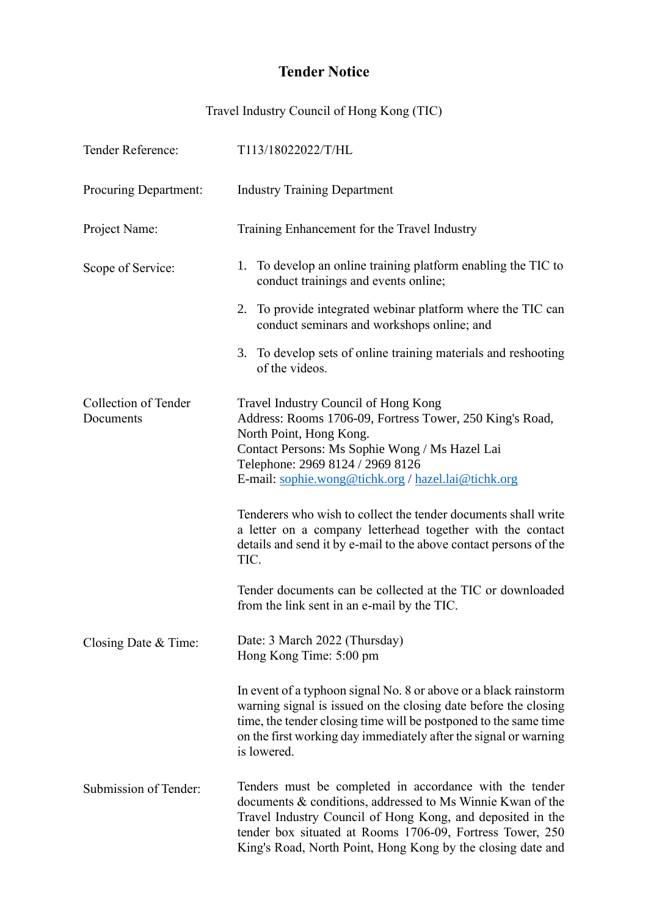## **Tender Notice**

Travel Industry Council of Hong Kong (TIC)

| Tender Reference:                 | T113/18022022/T/HL                                                                                                                                                                                                                                                                                              |
|-----------------------------------|-----------------------------------------------------------------------------------------------------------------------------------------------------------------------------------------------------------------------------------------------------------------------------------------------------------------|
| Procuring Department:             | <b>Industry Training Department</b>                                                                                                                                                                                                                                                                             |
| Project Name:                     | Training Enhancement for the Travel Industry                                                                                                                                                                                                                                                                    |
| Scope of Service:                 | 1. To develop an online training platform enabling the TIC to<br>conduct trainings and events online;                                                                                                                                                                                                           |
|                                   | 2. To provide integrated webinar platform where the TIC can<br>conduct seminars and workshops online; and                                                                                                                                                                                                       |
|                                   | 3. To develop sets of online training materials and reshooting<br>of the videos.                                                                                                                                                                                                                                |
| Collection of Tender<br>Documents | Travel Industry Council of Hong Kong<br>Address: Rooms 1706-09, Fortress Tower, 250 King's Road,<br>North Point, Hong Kong.<br>Contact Persons: Ms Sophie Wong / Ms Hazel Lai<br>Telephone: 2969 8124 / 2969 8126<br>E-mail: sophie.wong@tichk.org / hazel.lai@tichk.org                                        |
|                                   | Tenderers who wish to collect the tender documents shall write<br>a letter on a company letterhead together with the contact<br>details and send it by e-mail to the above contact persons of the<br>TIC.                                                                                                       |
|                                   | Tender documents can be collected at the TIC or downloaded<br>from the link sent in an e-mail by the TIC.                                                                                                                                                                                                       |
| Closing Date & Time:              | Date: 3 March 2022 (Thursday)<br>Hong Kong Time: 5:00 pm                                                                                                                                                                                                                                                        |
|                                   | In event of a typhoon signal No. 8 or above or a black rainstorm<br>warning signal is issued on the closing date before the closing<br>time, the tender closing time will be postponed to the same time<br>on the first working day immediately after the signal or warning<br>is lowered.                      |
| Submission of Tender:             | Tenders must be completed in accordance with the tender<br>documents & conditions, addressed to Ms Winnie Kwan of the<br>Travel Industry Council of Hong Kong, and deposited in the<br>tender box situated at Rooms 1706-09, Fortress Tower, 250<br>King's Road, North Point, Hong Kong by the closing date and |